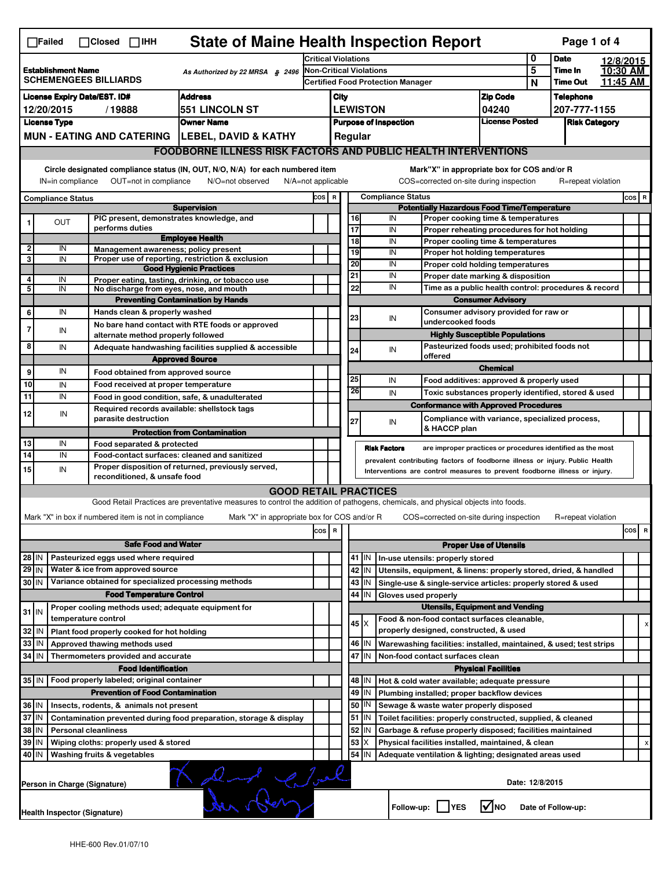| <b>State of Maine Health Inspection Report</b><br>Page 1 of 4<br>$\Box$ Failed<br>$\Box$ Closed $\Box$ IHH  |                                                                                                                                                                                                                                                                                           |                                                                                 |                                                                                                                                   |                                |      |     |                       |                                          |                                                                                       |                                |   |                    |                      |  |   |
|-------------------------------------------------------------------------------------------------------------|-------------------------------------------------------------------------------------------------------------------------------------------------------------------------------------------------------------------------------------------------------------------------------------------|---------------------------------------------------------------------------------|-----------------------------------------------------------------------------------------------------------------------------------|--------------------------------|------|-----|-----------------------|------------------------------------------|---------------------------------------------------------------------------------------|--------------------------------|---|--------------------|----------------------|--|---|
|                                                                                                             |                                                                                                                                                                                                                                                                                           |                                                                                 |                                                                                                                                   | <b>Critical Violations</b>     |      |     |                       |                                          |                                                                                       |                                | 0 | <b>Date</b>        | 12/8/2015            |  |   |
|                                                                                                             | <b>Establishment Name</b>                                                                                                                                                                                                                                                                 |                                                                                 | As Authorized by 22 MRSA § 2496                                                                                                   | <b>Non-Critical Violations</b> |      |     |                       |                                          |                                                                                       |                                | 5 | Time In            | 10:30 AM             |  |   |
| <b>SCHEMENGEES BILLIARDS</b>                                                                                |                                                                                                                                                                                                                                                                                           |                                                                                 |                                                                                                                                   |                                |      |     |                       | <b>Certified Food Protection Manager</b> |                                                                                       |                                | N | <b>Time Out</b>    | 11:45 AM             |  |   |
|                                                                                                             |                                                                                                                                                                                                                                                                                           | <b>License Expiry Date/EST. ID#</b>                                             | <b>Address</b>                                                                                                                    |                                | City |     |                       |                                          |                                                                                       | <b>Zip Code</b>                |   | <b>Telephone</b>   |                      |  |   |
|                                                                                                             | 12/20/2015                                                                                                                                                                                                                                                                                | /19888                                                                          | <b>551 LINCOLN ST</b>                                                                                                             |                                |      |     | <b>LEWISTON</b>       |                                          |                                                                                       | 04240<br><b>License Posted</b> |   | 207-777-1155       |                      |  |   |
|                                                                                                             | <b>License Type</b>                                                                                                                                                                                                                                                                       |                                                                                 | <b>Owner Name</b>                                                                                                                 |                                |      |     |                       | <b>Purpose of Inspection</b>             |                                                                                       |                                |   |                    | <b>Risk Category</b> |  |   |
|                                                                                                             |                                                                                                                                                                                                                                                                                           |                                                                                 | MUN - EATING AND CATERING   LEBEL, DAVID & KATHY                                                                                  |                                |      |     | Regular               |                                          |                                                                                       |                                |   |                    |                      |  |   |
|                                                                                                             |                                                                                                                                                                                                                                                                                           |                                                                                 | <b>FOODBORNE ILLNESS RISK FACTORS AND PUBLIC HEALTH INTERVENTIONS</b>                                                             |                                |      |     |                       |                                          |                                                                                       |                                |   |                    |                      |  |   |
|                                                                                                             | Circle designated compliance status (IN, OUT, N/O, N/A) for each numbered item<br>Mark"X" in appropriate box for COS and/or R<br>OUT=not in compliance<br>COS=corrected on-site during inspection<br>IN=in compliance<br>N/O=not observed<br>$N/A = not$ applicable<br>R=repeat violation |                                                                                 |                                                                                                                                   |                                |      |     |                       |                                          |                                                                                       |                                |   |                    |                      |  |   |
| <b>Compliance Status</b><br>COS R<br>$cos$ R<br><b>Compliance Status</b>                                    |                                                                                                                                                                                                                                                                                           |                                                                                 |                                                                                                                                   |                                |      |     |                       |                                          |                                                                                       |                                |   |                    |                      |  |   |
|                                                                                                             |                                                                                                                                                                                                                                                                                           |                                                                                 | <b>Supervision</b>                                                                                                                |                                |      |     |                       |                                          | <b>Potentially Hazardous Food Time/Temperature</b>                                    |                                |   |                    |                      |  |   |
|                                                                                                             | <b>OUT</b>                                                                                                                                                                                                                                                                                | PIC present, demonstrates knowledge, and                                        |                                                                                                                                   |                                |      |     | 16                    | IN                                       | Proper cooking time & temperatures                                                    |                                |   |                    |                      |  |   |
|                                                                                                             |                                                                                                                                                                                                                                                                                           | performs duties                                                                 | <b>Employee Health</b>                                                                                                            |                                |      |     | 17<br>$\overline{18}$ | IN<br>IN                                 | Proper reheating procedures for hot holding                                           |                                |   |                    |                      |  |   |
| 2                                                                                                           | IN                                                                                                                                                                                                                                                                                        | Management awareness; policy present                                            |                                                                                                                                   |                                |      |     | 19                    | IN                                       | Proper cooling time & temperatures<br>Proper hot holding temperatures                 |                                |   |                    |                      |  |   |
| 3                                                                                                           | IN                                                                                                                                                                                                                                                                                        |                                                                                 | Proper use of reporting, restriction & exclusion                                                                                  |                                |      |     | 20                    | IN                                       | Proper cold holding temperatures                                                      |                                |   |                    |                      |  |   |
|                                                                                                             |                                                                                                                                                                                                                                                                                           |                                                                                 | <b>Good Hygienic Practices</b>                                                                                                    |                                |      |     | 21                    | IN                                       | Proper date marking & disposition                                                     |                                |   |                    |                      |  |   |
| 4<br>5                                                                                                      | IN<br>IN                                                                                                                                                                                                                                                                                  | No discharge from eyes, nose, and mouth                                         | Proper eating, tasting, drinking, or tobacco use                                                                                  |                                |      |     | 22                    | IN                                       | Time as a public health control: procedures & record                                  |                                |   |                    |                      |  |   |
|                                                                                                             |                                                                                                                                                                                                                                                                                           |                                                                                 | <b>Preventing Contamination by Hands</b>                                                                                          |                                |      |     |                       |                                          |                                                                                       | <b>Consumer Advisory</b>       |   |                    |                      |  |   |
| 6                                                                                                           | IN                                                                                                                                                                                                                                                                                        | Hands clean & properly washed                                                   |                                                                                                                                   |                                |      |     |                       |                                          | Consumer advisory provided for raw or                                                 |                                |   |                    |                      |  |   |
|                                                                                                             |                                                                                                                                                                                                                                                                                           |                                                                                 | No bare hand contact with RTE foods or approved                                                                                   |                                |      |     | 23                    | IN                                       | undercooked foods                                                                     |                                |   |                    |                      |  |   |
| $\overline{7}$                                                                                              | IN                                                                                                                                                                                                                                                                                        | alternate method properly followed                                              |                                                                                                                                   |                                |      |     |                       |                                          | <b>Highly Susceptible Populations</b>                                                 |                                |   |                    |                      |  |   |
| 8                                                                                                           | IN                                                                                                                                                                                                                                                                                        |                                                                                 | Adequate handwashing facilities supplied & accessible                                                                             |                                |      |     | 24                    | IN                                       | Pasteurized foods used; prohibited foods not                                          |                                |   |                    |                      |  |   |
|                                                                                                             |                                                                                                                                                                                                                                                                                           |                                                                                 | <b>Approved Source</b>                                                                                                            |                                |      |     |                       |                                          | offered                                                                               |                                |   |                    |                      |  |   |
| 9                                                                                                           | IN                                                                                                                                                                                                                                                                                        | Food obtained from approved source                                              |                                                                                                                                   |                                |      |     |                       |                                          |                                                                                       | <b>Chemical</b>                |   |                    |                      |  |   |
| 10                                                                                                          | IN                                                                                                                                                                                                                                                                                        | Food received at proper temperature                                             |                                                                                                                                   |                                |      |     | 25                    | IN                                       | Food additives: approved & properly used                                              |                                |   |                    |                      |  |   |
| 11                                                                                                          | IN                                                                                                                                                                                                                                                                                        |                                                                                 | Food in good condition, safe, & unadulterated                                                                                     |                                |      |     | 26                    | IN                                       | Toxic substances properly identified, stored & used                                   |                                |   |                    |                      |  |   |
| 12                                                                                                          | IN                                                                                                                                                                                                                                                                                        | Required records available: shellstock tags                                     |                                                                                                                                   |                                |      |     |                       |                                          | <b>Conformance with Approved Procedures</b>                                           |                                |   |                    |                      |  |   |
|                                                                                                             |                                                                                                                                                                                                                                                                                           | parasite destruction                                                            |                                                                                                                                   |                                |      |     | 27                    | IN                                       | Compliance with variance, specialized process,                                        |                                |   |                    |                      |  |   |
|                                                                                                             |                                                                                                                                                                                                                                                                                           |                                                                                 | <b>Protection from Contamination</b>                                                                                              |                                |      |     |                       |                                          | & HACCP plan                                                                          |                                |   |                    |                      |  |   |
| 13                                                                                                          | IN                                                                                                                                                                                                                                                                                        | Food separated & protected                                                      |                                                                                                                                   |                                |      |     |                       | <b>Risk Factors</b>                      | are improper practices or procedures identified as the most                           |                                |   |                    |                      |  |   |
| $\overline{14}$                                                                                             | IN                                                                                                                                                                                                                                                                                        |                                                                                 | Food-contact surfaces: cleaned and sanitized                                                                                      |                                |      |     |                       |                                          | prevalent contributing factors of foodborne illness or injury. Public Health          |                                |   |                    |                      |  |   |
| 15                                                                                                          | IN                                                                                                                                                                                                                                                                                        | reconditioned, & unsafe food                                                    | Proper disposition of returned, previously served,                                                                                |                                |      |     |                       |                                          | Interventions are control measures to prevent foodborne illness or injury.            |                                |   |                    |                      |  |   |
|                                                                                                             | <b>GOOD RETAIL PRACTICES</b>                                                                                                                                                                                                                                                              |                                                                                 |                                                                                                                                   |                                |      |     |                       |                                          |                                                                                       |                                |   |                    |                      |  |   |
|                                                                                                             |                                                                                                                                                                                                                                                                                           |                                                                                 | Good Retail Practices are preventative measures to control the addition of pathogens, chemicals, and physical objects into foods. |                                |      |     |                       |                                          |                                                                                       |                                |   |                    |                      |  |   |
|                                                                                                             |                                                                                                                                                                                                                                                                                           | Mark "X" in box if numbered item is not in compliance                           | Mark "X" in appropriate box for COS and/or R                                                                                      |                                |      |     |                       |                                          | COS=corrected on-site during inspection                                               |                                |   | R=repeat violation |                      |  |   |
|                                                                                                             |                                                                                                                                                                                                                                                                                           |                                                                                 |                                                                                                                                   |                                |      |     |                       |                                          |                                                                                       |                                |   |                    |                      |  |   |
| $\overline{\mathbf{R}}$<br>cos                                                                              |                                                                                                                                                                                                                                                                                           |                                                                                 |                                                                                                                                   |                                |      | cos | R                     |                                          |                                                                                       |                                |   |                    |                      |  |   |
|                                                                                                             |                                                                                                                                                                                                                                                                                           | <b>Safe Food and Water</b>                                                      |                                                                                                                                   |                                |      |     |                       |                                          |                                                                                       | <b>Proper Use of Utensils</b>  |   |                    |                      |  |   |
| $28$ IN                                                                                                     |                                                                                                                                                                                                                                                                                           | Pasteurized eggs used where required                                            |                                                                                                                                   |                                |      |     | 41   IN               |                                          | In-use utensils: properly stored                                                      |                                |   |                    |                      |  |   |
| $29$ IN                                                                                                     |                                                                                                                                                                                                                                                                                           | Water & ice from approved source                                                |                                                                                                                                   |                                |      |     | 42<br>IN              |                                          | Utensils, equipment, & linens: properly stored, dried, & handled                      |                                |   |                    |                      |  |   |
| 30 IN                                                                                                       |                                                                                                                                                                                                                                                                                           | Variance obtained for specialized processing methods                            |                                                                                                                                   |                                |      |     | 43   IN               |                                          | Single-use & single-service articles: properly stored & used                          |                                |   |                    |                      |  |   |
|                                                                                                             |                                                                                                                                                                                                                                                                                           | <b>Food Temperature Control</b>                                                 |                                                                                                                                   |                                |      |     | 44<br>IN              | Gloves used properly                     |                                                                                       |                                |   |                    |                      |  |   |
| $31$ IN                                                                                                     |                                                                                                                                                                                                                                                                                           | Proper cooling methods used; adequate equipment for<br>temperature control      |                                                                                                                                   |                                |      |     |                       |                                          | <b>Utensils, Equipment and Vending</b>                                                |                                |   |                    |                      |  |   |
|                                                                                                             |                                                                                                                                                                                                                                                                                           |                                                                                 |                                                                                                                                   |                                |      |     | $45 \times$           |                                          | Food & non-food contact surfaces cleanable,<br>properly designed, constructed, & used |                                |   |                    |                      |  | х |
| 32                                                                                                          | IN                                                                                                                                                                                                                                                                                        | Plant food properly cooked for hot holding                                      |                                                                                                                                   |                                |      |     |                       |                                          |                                                                                       |                                |   |                    |                      |  |   |
| 33                                                                                                          | IN                                                                                                                                                                                                                                                                                        | Approved thawing methods used                                                   |                                                                                                                                   |                                |      |     | 46 IN<br>47           |                                          | Warewashing facilities: installed, maintained, & used; test strips                    |                                |   |                    |                      |  |   |
| 34                                                                                                          | <b>IN</b>                                                                                                                                                                                                                                                                                 | Thermometers provided and accurate                                              |                                                                                                                                   |                                |      |     | IN                    |                                          | Non-food contact surfaces clean                                                       |                                |   |                    |                      |  |   |
|                                                                                                             |                                                                                                                                                                                                                                                                                           | <b>Food Identification</b><br>35 IN   Food properly labeled; original container |                                                                                                                                   |                                |      |     |                       |                                          |                                                                                       | <b>Physical Facilities</b>     |   |                    |                      |  |   |
|                                                                                                             |                                                                                                                                                                                                                                                                                           | <b>Prevention of Food Contamination</b>                                         |                                                                                                                                   |                                |      |     | 48<br>ΙN              |                                          | Hot & cold water available; adequate pressure                                         |                                |   |                    |                      |  |   |
|                                                                                                             |                                                                                                                                                                                                                                                                                           |                                                                                 |                                                                                                                                   |                                |      |     | 49<br>IN              |                                          | Plumbing installed; proper backflow devices                                           |                                |   |                    |                      |  |   |
| 36 IN<br>37 IN                                                                                              |                                                                                                                                                                                                                                                                                           | Insects, rodents, & animals not present                                         |                                                                                                                                   |                                |      |     | 50<br>IN              |                                          | Sewage & waste water properly disposed                                                |                                |   |                    |                      |  |   |
|                                                                                                             |                                                                                                                                                                                                                                                                                           |                                                                                 | Contamination prevented during food preparation, storage & display                                                                |                                |      |     | 51<br>IN              |                                          | Toilet facilities: properly constructed, supplied, & cleaned                          |                                |   |                    |                      |  |   |
| 38                                                                                                          | IN                                                                                                                                                                                                                                                                                        | <b>Personal cleanliness</b>                                                     |                                                                                                                                   |                                |      |     | 52<br>IN              |                                          | Garbage & refuse properly disposed; facilities maintained                             |                                |   |                    |                      |  |   |
| 39                                                                                                          | IN                                                                                                                                                                                                                                                                                        | Wiping cloths: properly used & stored                                           |                                                                                                                                   |                                |      |     | 53<br>X               |                                          | Physical facilities installed, maintained, & clean                                    |                                |   |                    |                      |  |   |
| $54$   IN<br>40 IN<br>Washing fruits & vegetables<br>Adequate ventilation & lighting; designated areas used |                                                                                                                                                                                                                                                                                           |                                                                                 |                                                                                                                                   |                                |      |     |                       |                                          |                                                                                       |                                |   |                    |                      |  |   |
| and Clark<br>Date: 12/8/2015<br>Person in Charge (Signature)                                                |                                                                                                                                                                                                                                                                                           |                                                                                 |                                                                                                                                   |                                |      |     |                       |                                          |                                                                                       |                                |   |                    |                      |  |   |
|                                                                                                             | l√lno<br>Follow-up:     YES<br>Date of Follow-up:<br><b>Health Inspector (Signature)</b>                                                                                                                                                                                                  |                                                                                 |                                                                                                                                   |                                |      |     |                       |                                          |                                                                                       |                                |   |                    |                      |  |   |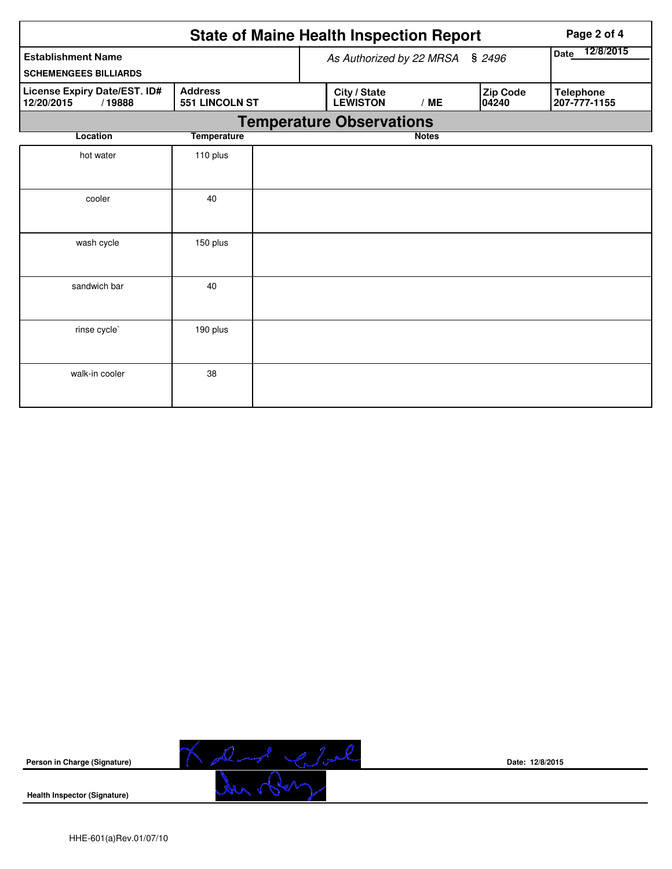| <b>State of Maine Health Inspection Report</b><br>Page 2 of 4 |                                         |                                 |                                 |              |                          |                                  |  |  |
|---------------------------------------------------------------|-----------------------------------------|---------------------------------|---------------------------------|--------------|--------------------------|----------------------------------|--|--|
| <b>Establishment Name</b>                                     |                                         | As Authorized by 22 MRSA § 2496 | 12/8/2015<br><b>Date</b>        |              |                          |                                  |  |  |
| <b>SCHEMENGEES BILLIARDS</b>                                  |                                         |                                 |                                 |              |                          |                                  |  |  |
| License Expiry Date/EST. ID#<br>12/20/2015<br>/19888          | <b>Address</b><br><b>551 LINCOLN ST</b> |                                 | City / State<br><b>LEWISTON</b> | /ME          | <b>Zip Code</b><br>04240 | <b>Telephone</b><br>207-777-1155 |  |  |
|                                                               |                                         |                                 | <b>Temperature Observations</b> |              |                          |                                  |  |  |
| Location                                                      | <b>Temperature</b>                      |                                 |                                 | <b>Notes</b> |                          |                                  |  |  |
| hot water                                                     | 110 plus                                |                                 |                                 |              |                          |                                  |  |  |
| cooler                                                        | 40                                      |                                 |                                 |              |                          |                                  |  |  |
| wash cycle                                                    | 150 plus                                |                                 |                                 |              |                          |                                  |  |  |
| sandwich bar                                                  | 40                                      |                                 |                                 |              |                          |                                  |  |  |
| rinse cycle`                                                  | 190 plus                                |                                 |                                 |              |                          |                                  |  |  |
| walk-in cooler                                                | 38                                      |                                 |                                 |              |                          |                                  |  |  |



**Date: 12/8/2015**

**Health Inspector (Signature)**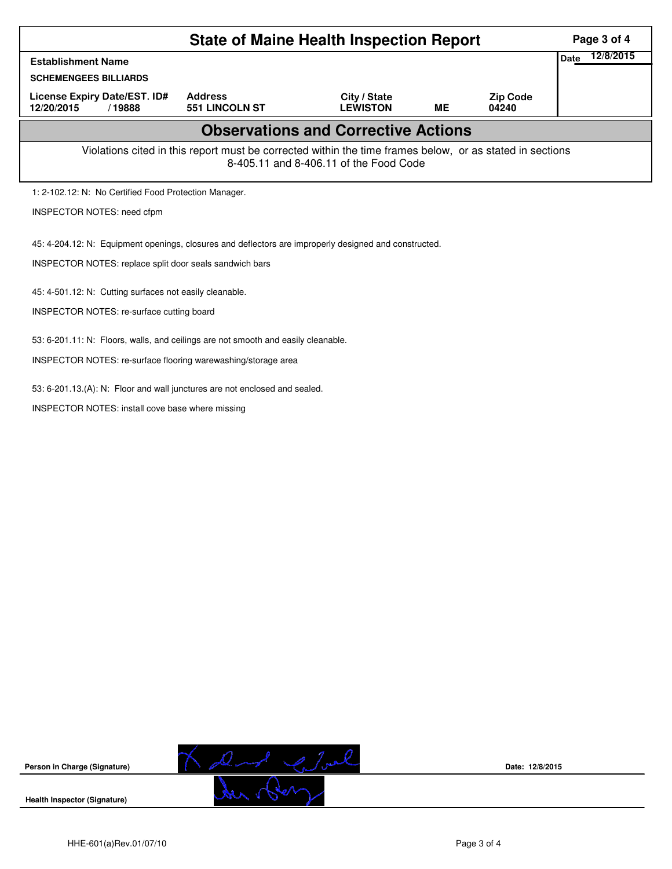|                                                                                                                                                    | Page 3 of 4                                                                                           |                                 |           |                          |  |  |  |
|----------------------------------------------------------------------------------------------------------------------------------------------------|-------------------------------------------------------------------------------------------------------|---------------------------------|-----------|--------------------------|--|--|--|
| <b>Establishment Name</b>                                                                                                                          | 12/8/2015<br>Date                                                                                     |                                 |           |                          |  |  |  |
| <b>SCHEMENGEES BILLIARDS</b>                                                                                                                       |                                                                                                       |                                 |           |                          |  |  |  |
| License Expiry Date/EST. ID#<br>12/20/2015<br>/19888                                                                                               | <b>Address</b><br><b>551 LINCOLN ST</b>                                                               | City / State<br><b>LEWISTON</b> | <b>ME</b> | <b>Zip Code</b><br>04240 |  |  |  |
|                                                                                                                                                    | <b>Observations and Corrective Actions</b>                                                            |                                 |           |                          |  |  |  |
| Violations cited in this report must be corrected within the time frames below, or as stated in sections<br>8-405.11 and 8-406.11 of the Food Code |                                                                                                       |                                 |           |                          |  |  |  |
| 1: 2-102.12: N: No Certified Food Protection Manager.                                                                                              |                                                                                                       |                                 |           |                          |  |  |  |
| <b>INSPECTOR NOTES: need cfpm</b>                                                                                                                  |                                                                                                       |                                 |           |                          |  |  |  |
|                                                                                                                                                    | 45: 4-204.12: N: Equipment openings, closures and deflectors are improperly designed and constructed. |                                 |           |                          |  |  |  |
| INSPECTOR NOTES: replace split door seals sandwich bars                                                                                            |                                                                                                       |                                 |           |                          |  |  |  |
| 45: 4-501.12: N: Cutting surfaces not easily cleanable.                                                                                            |                                                                                                       |                                 |           |                          |  |  |  |
| <b>INSPECTOR NOTES: re-surface cutting board</b>                                                                                                   |                                                                                                       |                                 |           |                          |  |  |  |
| 53: 6-201.11: N: Floors, walls, and ceilings are not smooth and easily cleanable.                                                                  |                                                                                                       |                                 |           |                          |  |  |  |
| INSPECTOR NOTES: re-surface flooring warewashing/storage area                                                                                      |                                                                                                       |                                 |           |                          |  |  |  |
| 53: 6-201.13.(A): N: Floor and wall junctures are not enclosed and sealed.                                                                         |                                                                                                       |                                 |           |                          |  |  |  |
| <b>INSPECTOR NOTES: install cove base where missing</b>                                                                                            |                                                                                                       |                                 |           |                          |  |  |  |



**Date: 12/8/2015**

**Health Inspector (Signature)**